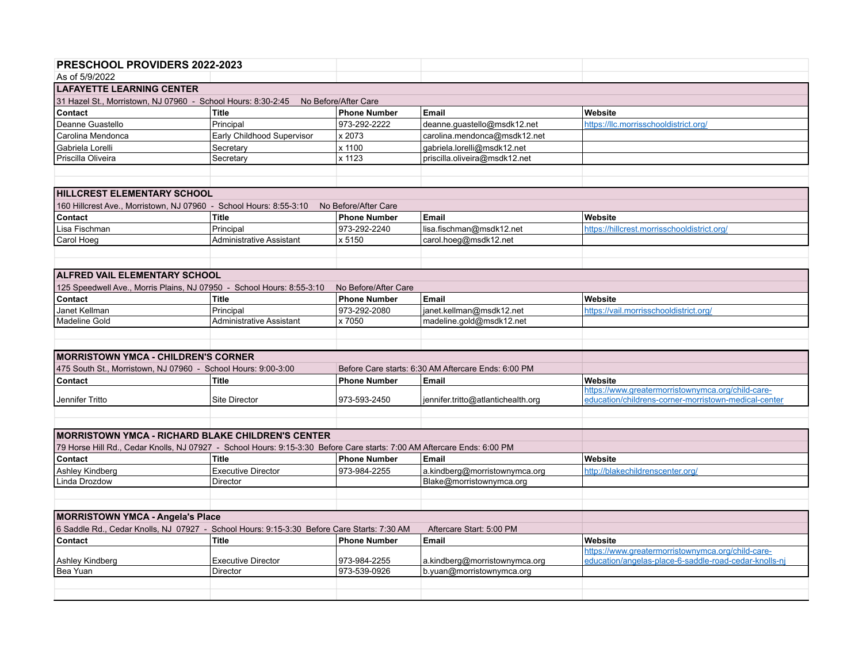| <b>PRESCHOOL PROVIDERS 2022-2023</b>                                                                                                                       |                                       |                      |                                                           |                                                       |  |  |  |  |
|------------------------------------------------------------------------------------------------------------------------------------------------------------|---------------------------------------|----------------------|-----------------------------------------------------------|-------------------------------------------------------|--|--|--|--|
| As of 5/9/2022                                                                                                                                             |                                       |                      |                                                           |                                                       |  |  |  |  |
| <b>LAFAYETTE LEARNING CENTER</b>                                                                                                                           |                                       |                      |                                                           |                                                       |  |  |  |  |
| 31 Hazel St., Morristown, NJ 07960 - School Hours: 8:30-2:45 No Before/After Care                                                                          |                                       |                      |                                                           |                                                       |  |  |  |  |
| Contact                                                                                                                                                    | <b>Title</b>                          | <b>Phone Number</b>  | Email                                                     | Website                                               |  |  |  |  |
| Deanne Guastello                                                                                                                                           | Principal                             | 973-292-2222         | deanne.guastello@msdk12.net                               | https://llc.morrisschooldistrict.org/                 |  |  |  |  |
| Carolina Mendonca                                                                                                                                          | Early Childhood Supervisor            | x 2073               | carolina.mendonca@msdk12.net                              |                                                       |  |  |  |  |
| Gabriela Lorelli                                                                                                                                           | Secretary                             | x 1100               | gabriela.lorelli@msdk12.net                               |                                                       |  |  |  |  |
| Priscilla Oliveira                                                                                                                                         | Secretary                             | x 1123               | priscilla.oliveira@msdk12.net                             |                                                       |  |  |  |  |
|                                                                                                                                                            |                                       |                      |                                                           |                                                       |  |  |  |  |
|                                                                                                                                                            |                                       |                      |                                                           |                                                       |  |  |  |  |
| <b>IHILLCREST ELEMENTARY SCHOOL</b>                                                                                                                        |                                       |                      |                                                           |                                                       |  |  |  |  |
| 160 Hillcrest Ave., Morristown, NJ 07960 - School Hours: 8:55-3:10                                                                                         |                                       | No Before/After Care |                                                           |                                                       |  |  |  |  |
| Contact                                                                                                                                                    | <b>Title</b>                          | <b>Phone Number</b>  | Email                                                     | Website                                               |  |  |  |  |
| Lisa Fischman                                                                                                                                              | Principal                             | 973-292-2240         | lisa.fischman@msdk12.net                                  | https://hillcrest.morrisschooldistrict.org/           |  |  |  |  |
| Carol Hoeg                                                                                                                                                 | <b>Administrative Assistant</b>       | x 5150               | carol.hoeg@msdk12.net                                     |                                                       |  |  |  |  |
|                                                                                                                                                            |                                       |                      |                                                           |                                                       |  |  |  |  |
|                                                                                                                                                            |                                       |                      |                                                           |                                                       |  |  |  |  |
| <b>ALFRED VAIL ELEMENTARY SCHOOL</b>                                                                                                                       |                                       |                      |                                                           |                                                       |  |  |  |  |
| 125 Speedwell Ave., Morris Plains, NJ 07950 - School Hours: 8:55-3:10                                                                                      |                                       | No Before/After Care |                                                           |                                                       |  |  |  |  |
| Contact                                                                                                                                                    | <b>Title</b>                          | <b>Phone Number</b>  | <b>Email</b>                                              | Website                                               |  |  |  |  |
| Janet Kellman                                                                                                                                              | Principal                             | 973-292-2080         | janet.kellman@msdk12.net                                  | https://vail.morrisschooldistrict.org/                |  |  |  |  |
| Madeline Gold                                                                                                                                              | <b>Administrative Assistant</b>       | x 7050               | madeline.gold@msdk12.net                                  |                                                       |  |  |  |  |
|                                                                                                                                                            |                                       |                      |                                                           |                                                       |  |  |  |  |
|                                                                                                                                                            |                                       |                      |                                                           |                                                       |  |  |  |  |
| <b>IMORRISTOWN YMCA - CHILDREN'S CORNER</b>                                                                                                                |                                       |                      |                                                           |                                                       |  |  |  |  |
| 475 South St., Morristown, NJ 07960 - School Hours: 9:00-3:00                                                                                              |                                       |                      | Before Care starts: 6:30 AM Aftercare Ends: 6:00 PM       |                                                       |  |  |  |  |
| Contact                                                                                                                                                    | <b>Title</b>                          | <b>Phone Number</b>  | <b>Email</b>                                              | Website                                               |  |  |  |  |
|                                                                                                                                                            |                                       |                      |                                                           | https://www.greatermorristownymca.org/child-care-     |  |  |  |  |
| Jennifer Tritto                                                                                                                                            | <b>Site Director</b>                  | 973-593-2450         | jennifer.tritto@atlantichealth.org                        | education/childrens-corner-morristown-medical-center  |  |  |  |  |
|                                                                                                                                                            |                                       |                      |                                                           |                                                       |  |  |  |  |
| <b>IMORRISTOWN YMCA - RICHARD BLAKE CHILDREN'S CENTER</b>                                                                                                  |                                       |                      |                                                           |                                                       |  |  |  |  |
|                                                                                                                                                            |                                       |                      |                                                           |                                                       |  |  |  |  |
| 79 Horse Hill Rd., Cedar Knolls, NJ 07927 - School Hours: 9:15-3:30 Before Care starts: 7:00 AM Aftercare Ends: 6:00 PM                                    |                                       |                      |                                                           |                                                       |  |  |  |  |
| Contact                                                                                                                                                    | <b>Title</b>                          | <b>Phone Number</b>  | <b>Email</b>                                              | Website                                               |  |  |  |  |
| Ashley Kindberg<br>Linda Drozdow                                                                                                                           | <b>Executive Director</b><br>Director | 973-984-2255         | a.kindberg@morristownymca.org<br>Blake@morristownymca.org | http://blakechildrenscenter.org/                      |  |  |  |  |
|                                                                                                                                                            |                                       |                      |                                                           |                                                       |  |  |  |  |
|                                                                                                                                                            |                                       |                      |                                                           |                                                       |  |  |  |  |
|                                                                                                                                                            |                                       |                      |                                                           |                                                       |  |  |  |  |
| MORRISTOWN YMCA - Angela's Place<br>6 Saddle Rd., Cedar Knolls, NJ 07927 - School Hours: 9:15-3:30 Before Care Starts: 7:30 AM<br>Aftercare Start: 5:00 PM |                                       |                      |                                                           |                                                       |  |  |  |  |
| Contact                                                                                                                                                    | <b>Title</b>                          | <b>Phone Number</b>  | Email                                                     | Website                                               |  |  |  |  |
|                                                                                                                                                            |                                       |                      |                                                           | https://www.greatermorristownymca.org/child-care-     |  |  |  |  |
| Ashley Kindberg                                                                                                                                            | <b>Executive Director</b>             | 973-984-2255         | a.kindberg@morristownymca.org                             | education/angelas-place-6-saddle-road-cedar-knolls-nj |  |  |  |  |
| Bea Yuan                                                                                                                                                   | Director                              | 973-539-0926         | b.yuan@morristownymca.org                                 |                                                       |  |  |  |  |
|                                                                                                                                                            |                                       |                      |                                                           |                                                       |  |  |  |  |
|                                                                                                                                                            |                                       |                      |                                                           |                                                       |  |  |  |  |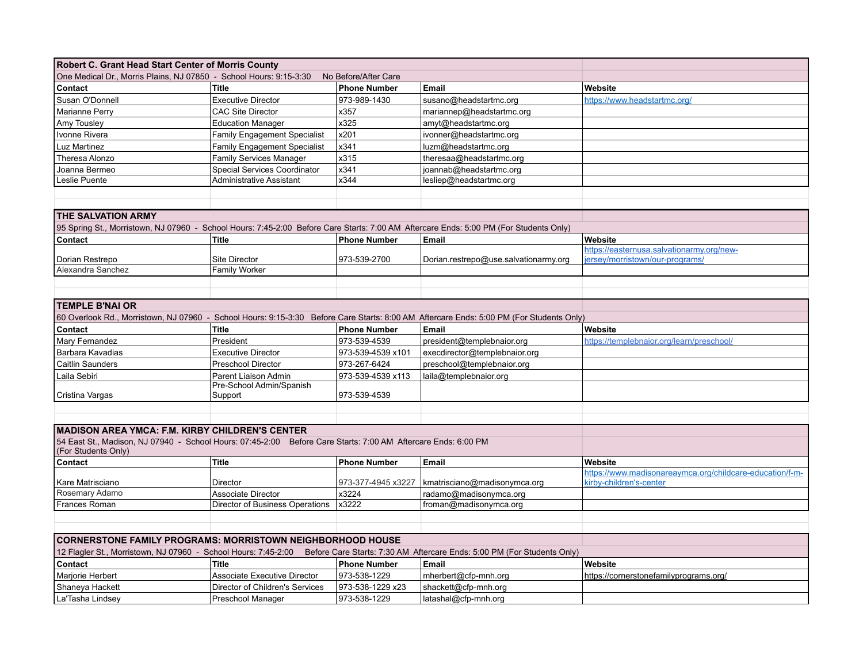| Robert C. Grant Head Start Center of Morris County                                                                                        |                                     |                      |                                                                                                                                         |                                                          |  |  |  |
|-------------------------------------------------------------------------------------------------------------------------------------------|-------------------------------------|----------------------|-----------------------------------------------------------------------------------------------------------------------------------------|----------------------------------------------------------|--|--|--|
| One Medical Dr., Morris Plains, NJ 07850 - School Hours: 9:15-3:30                                                                        |                                     | No Before/After Care |                                                                                                                                         |                                                          |  |  |  |
| Contact                                                                                                                                   | <b>Title</b>                        | <b>Phone Number</b>  | Email                                                                                                                                   | Website                                                  |  |  |  |
| Susan O'Donnell                                                                                                                           | <b>Executive Director</b>           | 973-989-1430         | susano@headstartmc.org                                                                                                                  | https://www.headstartmc.org/                             |  |  |  |
| Marianne Perry                                                                                                                            | <b>CAC Site Director</b>            | x357                 | mariannep@headstartmc.org                                                                                                               |                                                          |  |  |  |
| Amy Tousley                                                                                                                               | <b>Education Manager</b>            | x325                 | amyt@headstartmc.org                                                                                                                    |                                                          |  |  |  |
| Ivonne Rivera                                                                                                                             | <b>Family Engagement Specialist</b> | x201                 | ivonner@headstartmc.org                                                                                                                 |                                                          |  |  |  |
| Luz Martinez                                                                                                                              | <b>Family Engagement Specialist</b> | x341                 | luzm@headstartmc.org                                                                                                                    |                                                          |  |  |  |
| Theresa Alonzo                                                                                                                            | Family Services Manager             | x315                 | theresaa@headstartmc.org                                                                                                                |                                                          |  |  |  |
| Joanna Bermeo                                                                                                                             | Special Services Coordinator        | x341                 | joannab@headstartmc.org                                                                                                                 |                                                          |  |  |  |
| Leslie Puente                                                                                                                             | Administrative Assistant            | x344                 | lesliep@headstartmc.org                                                                                                                 |                                                          |  |  |  |
|                                                                                                                                           |                                     |                      |                                                                                                                                         |                                                          |  |  |  |
|                                                                                                                                           |                                     |                      |                                                                                                                                         |                                                          |  |  |  |
| <b>THE SALVATION ARMY</b>                                                                                                                 |                                     |                      |                                                                                                                                         |                                                          |  |  |  |
|                                                                                                                                           |                                     |                      | 95 Spring St., Morristown, NJ 07960 - School Hours: 7:45-2:00 Before Care Starts: 7:00 AM Aftercare Ends: 5:00 PM (For Students Only)   |                                                          |  |  |  |
| Contact                                                                                                                                   | <b>Title</b>                        | <b>Phone Number</b>  | Email                                                                                                                                   | Website                                                  |  |  |  |
|                                                                                                                                           |                                     |                      |                                                                                                                                         | https://easternusa.salvationarmy.org/new-                |  |  |  |
| Dorian Restrepo                                                                                                                           | Site Director                       | 973-539-2700         | Dorian.restrepo@use.salvationarmy.org                                                                                                   | iersey/morristown/our-programs/                          |  |  |  |
| Alexandra Sanchez                                                                                                                         | <b>Family Worker</b>                |                      |                                                                                                                                         |                                                          |  |  |  |
|                                                                                                                                           |                                     |                      |                                                                                                                                         |                                                          |  |  |  |
|                                                                                                                                           |                                     |                      |                                                                                                                                         |                                                          |  |  |  |
| <b>TEMPLE B'NAI OR</b>                                                                                                                    |                                     |                      |                                                                                                                                         |                                                          |  |  |  |
|                                                                                                                                           |                                     |                      | 60 Overlook Rd., Morristown, NJ 07960 - School Hours: 9:15-3:30 Before Care Starts: 8:00 AM Aftercare Ends: 5:00 PM (For Students Only) |                                                          |  |  |  |
| Contact                                                                                                                                   | <b>Title</b>                        | <b>Phone Number</b>  | Email                                                                                                                                   | Website                                                  |  |  |  |
| Mary Fernandez                                                                                                                            | President                           | 973-539-4539         | president@templebnaior.org                                                                                                              | https://templebnaior.org/learn/preschool/                |  |  |  |
| Barbara Kavadias                                                                                                                          | <b>Executive Director</b>           | 973-539-4539 x101    | execdirector@templebnaior.org                                                                                                           |                                                          |  |  |  |
| Caitlin Saunders                                                                                                                          | <b>Preschool Director</b>           | 973-267-6424         | preschool@templebnaior.org                                                                                                              |                                                          |  |  |  |
| Laila Sebiri                                                                                                                              | Parent Liaison Admin                | 973-539-4539 x113    | laila@templebnaior.org                                                                                                                  |                                                          |  |  |  |
|                                                                                                                                           | Pre-School Admin/Spanish            |                      |                                                                                                                                         |                                                          |  |  |  |
| Cristina Vargas                                                                                                                           | Support                             | 973-539-4539         |                                                                                                                                         |                                                          |  |  |  |
|                                                                                                                                           |                                     |                      |                                                                                                                                         |                                                          |  |  |  |
|                                                                                                                                           |                                     |                      |                                                                                                                                         |                                                          |  |  |  |
| <b>MADISON AREA YMCA: F.M. KIRBY CHILDREN'S CENTER</b>                                                                                    |                                     |                      |                                                                                                                                         |                                                          |  |  |  |
| 54 East St., Madison, NJ 07940 - School Hours: 07:45-2:00 Before Care Starts: 7:00 AM Aftercare Ends: 6:00 PM<br>(For Students Only)      |                                     |                      |                                                                                                                                         |                                                          |  |  |  |
| Contact                                                                                                                                   | Title                               | <b>Phone Number</b>  | Email                                                                                                                                   | Website                                                  |  |  |  |
|                                                                                                                                           |                                     |                      |                                                                                                                                         | https://www.madisonareaymca.org/childcare-education/f-m- |  |  |  |
| Kare Matrisciano                                                                                                                          | Director                            | 973-377-4945 x3227   | kmatrisciano@madisonymca.org                                                                                                            | kirby-children's-center                                  |  |  |  |
| Rosemary Adamo                                                                                                                            | <b>Associate Director</b>           | x3224                | radamo@madisonymca.org                                                                                                                  |                                                          |  |  |  |
| Frances Roman                                                                                                                             | Director of Business Operations     | x3222                | froman@madisonymca.org                                                                                                                  |                                                          |  |  |  |
|                                                                                                                                           |                                     |                      |                                                                                                                                         |                                                          |  |  |  |
|                                                                                                                                           |                                     |                      |                                                                                                                                         |                                                          |  |  |  |
| <b>CORNERSTONE FAMILY PROGRAMS: MORRISTOWN NEIGHBORHOOD HOUSE</b>                                                                         |                                     |                      |                                                                                                                                         |                                                          |  |  |  |
| 12 Flagler St., Morristown, NJ 07960 - School Hours: 7:45-2:00<br>Before Care Starts: 7:30 AM Aftercare Ends: 5:00 PM (For Students Only) |                                     |                      |                                                                                                                                         |                                                          |  |  |  |
| Contact                                                                                                                                   | Title                               | <b>Phone Number</b>  | Email                                                                                                                                   | Website                                                  |  |  |  |
| Marjorie Herbert                                                                                                                          | <b>Associate Executive Director</b> | 973-538-1229         | mherbert@cfp-mnh.org                                                                                                                    | https://cornerstonefamilyprograms.org/                   |  |  |  |
| Shaneya Hackett                                                                                                                           | Director of Children's Services     | 973-538-1229 x23     | shackett@cfp-mnh.org                                                                                                                    |                                                          |  |  |  |
| La'Tasha Lindsey                                                                                                                          | Preschool Manager                   | 973-538-1229         | latashal@cfp-mnh.org                                                                                                                    |                                                          |  |  |  |
|                                                                                                                                           |                                     |                      |                                                                                                                                         |                                                          |  |  |  |